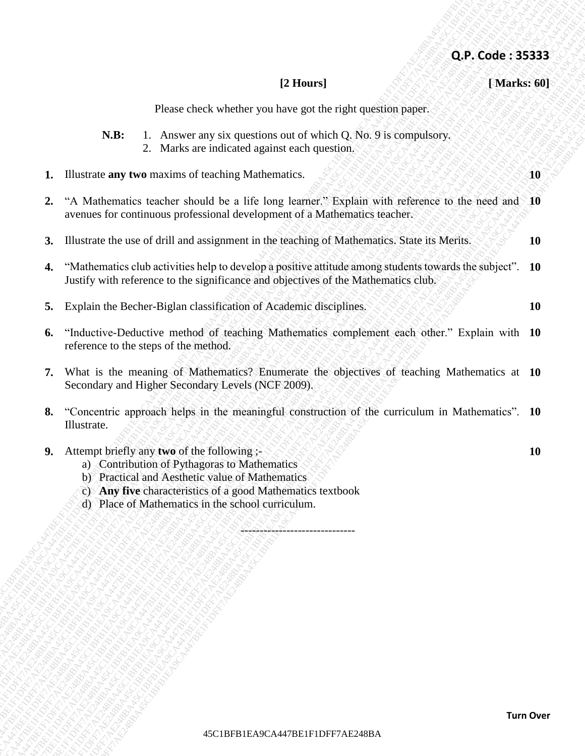Please check whether you have got the right question paper.

- **N.B:** 1. Answer any six questions out of which Q. No. 9 is compulsory.
	- 2. Marks are indicated against each question.
- **1.** Illustrate **any two** maxims of teaching Mathematics. **10**
- **2.** "A Mathematics teacher should be a life long learner." Explain with reference to the need and **10** avenues for continuous professional development of a Mathematics teacher.
- **3.** Illustrate the use of drill and assignment in the teaching of Mathematics. State its Merits.  $\sqrt{ }$  10
- **4.** "Mathematics club activities help to develop a positive attitude among students towards the subject". Justify with reference to the significance and objectives of the Mathematics club. **10**
- 
- **6.** "Inductive-Deductive method of teaching Mathematics complement each other." Explain with **10** reference to the steps of the method.
- **7.** What is the meaning of Mathematics? Enumerate the objectives of teaching Mathematics at **10** Secondary and Higher Secondary Levels (NCF 2009).
- **8.** "Concentric approach helps in the meaningful construction of the curriculum in Mathematics". Illustrate. **10**

<u>-4445</u>-------------------

**42. P. Code : 35.333**<br> **42. P. Code : 35.3333**<br> **42. P. Convertisory of the constrained properties control with**  $\alpha$  **3. Although the result of the constrained properties of the constrained properties of the constrained p 42.6.** Code: 353333<br>
Phone cluck whether you have got the right quasitom paper.<br>
V.H.  $\rightarrow$  Accouve any to consider a six providents out of the first purishes and<br>
1. Ellentatic way two nonzon to consider Mathematics in t **42.5. Code: 35333**<br>  $\Phi$ Please check whether you have got the right approach (Maximilton 2013)<br>
1. The main of the summan of which prime and which Q. No. 9 is computed by<br>
1. The main of the summan of the summan of the s 45C1BFB1EA9CA447BE1F1DFF7AE248BA45C1BFB1EA9CA447BE1F1DFF7AE248BA45C1BFB1EA9CA447BE1F1DFF7AE248BA45C1BFB1EA9CA447BE1F1DFF7AE248BA45C1BFB1EA9CA447BE1F1DFF7AE248BA45C1BFB1EA9CA447BE1F1DFF7AE248BA **45P. Code : 35333**<br>  $\Omega, \mathcal{P}, \mathbf{C}$ code : 35333<br> **K11.** 1. Amono any six quadrative control when dependent<br> **K11.** 1. Theoretic may be a membedian dependent on the quadratic policies with a control of the second state **45P. Code : 35333**<br>  $\Omega, \mathcal{P}, \mathbf{C}$ code : 35333<br> **K11.** 1. Amono any six quadrative control when dependent<br> **K11.** 1. Theoretic may be a membedian dependent on the quadratic policies with a control of the second state **45P. Code : 35333**<br>  $\Omega, \mathcal{P}, \mathbf{C}$ code : 35333<br> **K11.** 1. Amono any six quadrative control when dependent<br> **K11.** 1. Theoretic may be a membedian dependent on the quadratic policies with a control of the second state **45P. Code : 35333**<br>  $\Omega, \mathcal{P}, \mathbf{C}$ code : 35333<br> **K11.** 1. Amono any six quadrative control when dependent<br> **K11.** 1. Theoretic may be a membedian dependent on the quadratic policies with a control of the second state **45P. Code : 35333**<br>  $\Omega, \mathcal{P}, \mathbf{C}$ code : 35333<br> **K11.** 1. Amono any six quadrative control when dependent<br> **K11.** 1. Theoretic may be a membedian dependent on the quadratic policies with a control of the second state **45P. Code : 35333**<br>  $\Omega, \mathcal{P}, \mathbf{C}$ code : 35333<br> **K11.** 1. Amono any six quadrative control when dependent<br> **K11.** 1. Theoretic may be a membedian dependent on the quadratic policies with a control of the second state **45P. Code : 35333**<br>  $\Omega, \mathcal{P}, \mathbf{C}$ code : 35333<br> **K11.** 1. Amono any six quadrative control when dependent<br> **K11.** 1. Theoretic may be a membedian dependent on the quadratic policies with a control of the second state **45P. Code : 35333**<br>  $\Omega, \mathcal{P}, \mathbf{C}$ code : 35333<br> **K11.** 1. Amono any six quadrative control when dependent<br> **K11.** 1. Theoretic may be a membedian dependent on the quadratic policies with a control of the second state **45P. Code : 35333**<br>  $\Omega, \mathcal{P}, \mathbf{C}$ code : 35333<br> **K11.** 1. Amono any six quadrative control when dependent<br> **K11.** 1. Theoretic may be a membedian dependent on the quadratic policies with a control of the second state **45P. Code : 35333**<br>  $\Omega, \mathcal{P}, \mathbf{C}$ code : 35333<br> **K11.** 1. Amono any six quadrative control when dependent<br> **K11.** 1. Theoretic may be a membedian dependent on the quadratic policies with a control of the second state **42.6P. Code : 35333**<br> **42.6P. Code : 35333**<br> **42.** Theorem are six questions rated whether 2, Star 51 is computing,<br>
12. Theorem are six contributed agents and well applied the set of experiment.<br>
13. Theorem are six con **43. Example 12. Example 24. Example 24. Example 24. Example 24. Example 24. Example 24. Example 24. Example 24. Example 24. Example 24. Example 24. Example 24. Example 24. Example 24. Example 24. Example 24. Example 24. 42F. Code : 353333**<br>
12 House check which so you are only stand particular conditions particular conditions and the system of the standard space of the system of the system of the system of the system of the system of th **42. For Access Control and The Control and The Control and The Control and The Control and The Control and The Control and The Control and The Control and The Control and The Control and The Control and The Control and T 42.47** Chence there are a streamed to the entity of the state of the state of the state of the state of the state of the state of the state of the state of the state of the state of the state of the state of the state of **42 Francoi 12 Stuars 1**<br> **42.6** L. A Montes are the inclusion condition of which Q N is computedy.<br> **41.** L. A Montes are the condition of modeling Mathematics to about that  $Q$  New York (1998)<br> **42.** The Montes are the **5.** Explain the Becher-Biglan classification of Academic disciplines.  $88.80 \times 10^{10}$ **9.** Attempt briefly any **two** of the following ;- **10** a) Contribution of Pythagoras to Mathematics b) Practical and Aesthetic value of Mathematics c) **Any five** characteristics of a good Mathematics textbook d) Place of Mathematics in the school curriculum.

**Q.P. Code : 35333**

**[2 Hours] [ Marks: 60]**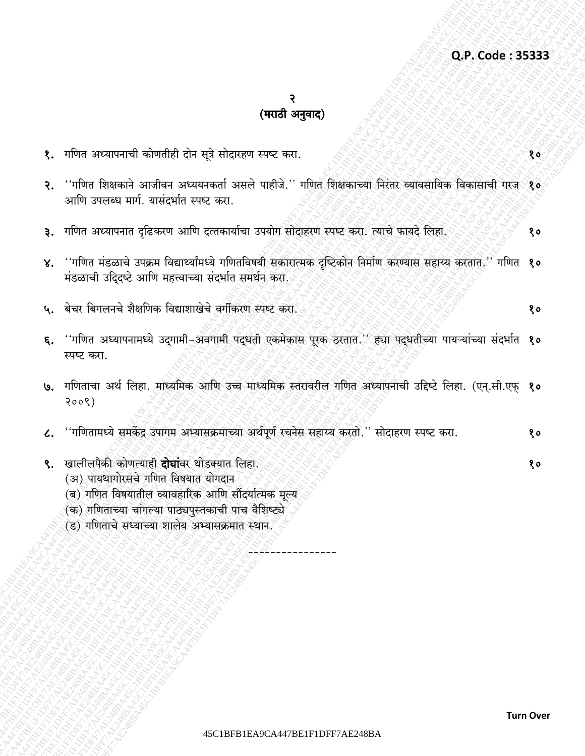## २<br>(मराठी अनुवाद)

| १. गणित अध्यापनाची कोणतीही दोन सूत्रे सोदारहण स्पष्ट करा.                                                                                                                                                                                                  | १०                                                                                                                                                                                                                                                                                                                                                                                                                                                                   |
|------------------------------------------------------------------------------------------------------------------------------------------------------------------------------------------------------------------------------------------------------------|----------------------------------------------------------------------------------------------------------------------------------------------------------------------------------------------------------------------------------------------------------------------------------------------------------------------------------------------------------------------------------------------------------------------------------------------------------------------|
| आणि उपलब्ध मार्ग. यासंदर्भात स्पष्ट करा.                                                                                                                                                                                                                   |                                                                                                                                                                                                                                                                                                                                                                                                                                                                      |
| ३. गणित अध्यापनात दृढिकरण आणि दत्तकार्याचा उपयोग सोदाहरण स्पष्ट करा. त्याचे फायदे लिहा.                                                                                                                                                                    | १०                                                                                                                                                                                                                                                                                                                                                                                                                                                                   |
| मंडळाची उदि्दष्टे आणि महत्त्वाच्या संदर्भात समर्थन करो.                                                                                                                                                                                                    |                                                                                                                                                                                                                                                                                                                                                                                                                                                                      |
| ५. बेचर बिगलनचे शैक्षणिक विद्याशाखेचे वर्गीकरण स्पष्ट करा.                                                                                                                                                                                                 | १०                                                                                                                                                                                                                                                                                                                                                                                                                                                                   |
| स्पष्ट करा.                                                                                                                                                                                                                                                |                                                                                                                                                                                                                                                                                                                                                                                                                                                                      |
| 3008)                                                                                                                                                                                                                                                      |                                                                                                                                                                                                                                                                                                                                                                                                                                                                      |
| ''गणितामध्ये समकेंद्र उपागम अभ्यासक्रमाच्या अर्थपूर्ण रचनेस सहाय्य करतो.'' सोदाहरण स्पष्ट करा.                                                                                                                                                             | १०                                                                                                                                                                                                                                                                                                                                                                                                                                                                   |
| खालीलपैकी कोणत्याही <b>दोघां</b> वर थोडक्यात लिहा.<br>(अ) पायथागोरसचे गणित विषयात योगदान<br>(ब) गणित विषयातील व्यावहारिक आणि सौंदर्यात्मक मूल्य<br>(क) गणिताच्या चांगल्या पाठ्यपुस्तकाची पाच वैशिष्ट्ये<br>(ड) गणिताचे सध्याच्या शालेय अभ्यासक्रमात स्थान. | १०                                                                                                                                                                                                                                                                                                                                                                                                                                                                   |
|                                                                                                                                                                                                                                                            | ''गणित शिक्षकाने आजीवन अध्ययनकर्ता असले पाहीजे.'' गणित शिक्षकाच्या निरंतर व्यावसायिक विकासाची गरज <sup>्</sup> १०<br>४. ''गणित मंडळाचे उपक्रम विद्यार्थ्यांमध्ये गणितविषयी सकारात्मक दृष्टिकोन निर्माण करण्यास सहाय्य करतात.'' गणित  १०<br>६. ''गणित अध्यापनामध्ये उद्गामी-अवगामी पद्धती एकमेकास पूरक ठरतात.'' ह्या पद्धतीच्या पायऱ्यांच्या संदर्भात १०<br>७. गणिताचा अर्थ लिहा. माध्यमिक आणि उच्च माध्यमिक स्तरावरील गणित अध्यापनाची उद्दिष्टे लिहा. (एन्.सी.एफ् १० |